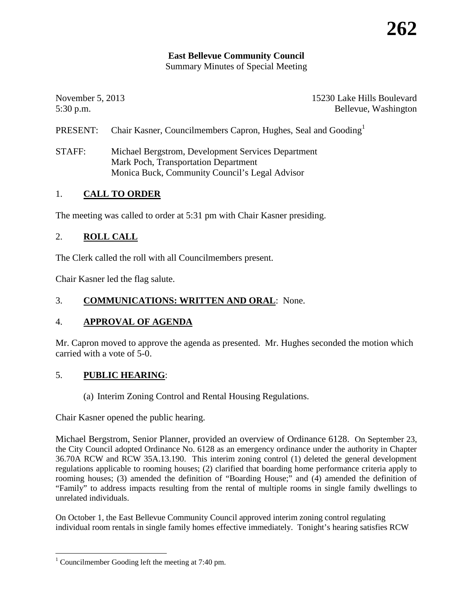## **East Bellevue Community Council**

Summary Minutes of Special Meeting

November 5, 2013 15230 Lake Hills Boulevard 5:30 p.m. Bellevue, Washington

- PRESENT: Chair Kasner, Councilmembers Capron, Hughes, Seal and Gooding<sup>[1](#page-0-0)</sup>
- STAFF: Michael Bergstrom, Development Services Department Mark Poch, Transportation Department Monica Buck, Community Council's Legal Advisor

#### 1. **CALL TO ORDER**

The meeting was called to order at 5:31 pm with Chair Kasner presiding.

#### 2. **ROLL CALL**

The Clerk called the roll with all Councilmembers present.

Chair Kasner led the flag salute.

#### 3. **COMMUNICATIONS: WRITTEN AND ORAL**: None.

#### 4. **APPROVAL OF AGENDA**

Mr. Capron moved to approve the agenda as presented. Mr. Hughes seconded the motion which carried with a vote of 5-0.

#### 5. **PUBLIC HEARING**:

(a) Interim Zoning Control and Rental Housing Regulations.

Chair Kasner opened the public hearing.

Michael Bergstrom, Senior Planner, provided an overview of Ordinance 6128. On September 23, the City Council adopted Ordinance No. 6128 as an emergency ordinance under the authority in Chapter 36.70A RCW and RCW 35A.13.190. This interim zoning control (1) deleted the general development regulations applicable to rooming houses; (2) clarified that boarding home performance criteria apply to rooming houses; (3) amended the definition of "Boarding House;" and (4) amended the definition of "Family" to address impacts resulting from the rental of multiple rooms in single family dwellings to unrelated individuals.

On October 1, the East Bellevue Community Council approved interim zoning control regulating individual room rentals in single family homes effective immediately. Tonight's hearing satisfies RCW

<span id="page-0-0"></span><sup>&</sup>lt;sup>1</sup> Councilmember Gooding left the meeting at 7:40 pm.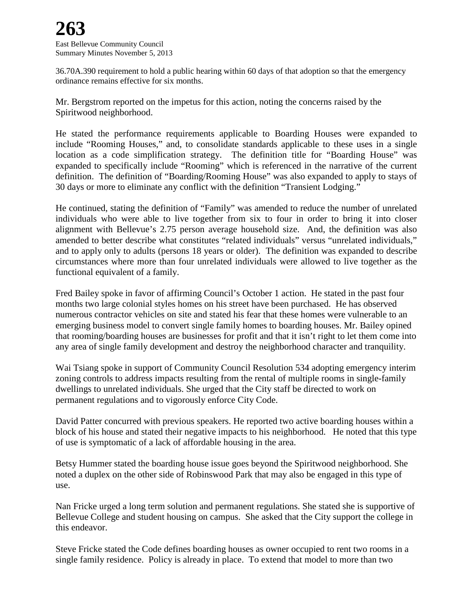36.70A.390 requirement to hold a public hearing within 60 days of that adoption so that the emergency ordinance remains effective for six months.

Mr. Bergstrom reported on the impetus for this action, noting the concerns raised by the Spiritwood neighborhood.

He stated the performance requirements applicable to Boarding Houses were expanded to include "Rooming Houses," and, to consolidate standards applicable to these uses in a single location as a code simplification strategy. The definition title for "Boarding House" was expanded to specifically include "Rooming" which is referenced in the narrative of the current definition. The definition of "Boarding/Rooming House" was also expanded to apply to stays of 30 days or more to eliminate any conflict with the definition "Transient Lodging."

He continued, stating the definition of "Family" was amended to reduce the number of unrelated individuals who were able to live together from six to four in order to bring it into closer alignment with Bellevue's 2.75 person average household size. And, the definition was also amended to better describe what constitutes "related individuals" versus "unrelated individuals," and to apply only to adults (persons 18 years or older). The definition was expanded to describe circumstances where more than four unrelated individuals were allowed to live together as the functional equivalent of a family.

Fred Bailey spoke in favor of affirming Council's October 1 action. He stated in the past four months two large colonial styles homes on his street have been purchased. He has observed numerous contractor vehicles on site and stated his fear that these homes were vulnerable to an emerging business model to convert single family homes to boarding houses. Mr. Bailey opined that rooming/boarding houses are businesses for profit and that it isn't right to let them come into any area of single family development and destroy the neighborhood character and tranquility.

Wai Tsiang spoke in support of Community Council Resolution 534 adopting emergency interim zoning controls to address impacts resulting from the rental of multiple rooms in single-family dwellings to unrelated individuals. She urged that the City staff be directed to work on permanent regulations and to vigorously enforce City Code.

David Patter concurred with previous speakers. He reported two active boarding houses within a block of his house and stated their negative impacts to his neighborhood. He noted that this type of use is symptomatic of a lack of affordable housing in the area.

Betsy Hummer stated the boarding house issue goes beyond the Spiritwood neighborhood. She noted a duplex on the other side of Robinswood Park that may also be engaged in this type of use.

Nan Fricke urged a long term solution and permanent regulations. She stated she is supportive of Bellevue College and student housing on campus. She asked that the City support the college in this endeavor.

Steve Fricke stated the Code defines boarding houses as owner occupied to rent two rooms in a single family residence. Policy is already in place. To extend that model to more than two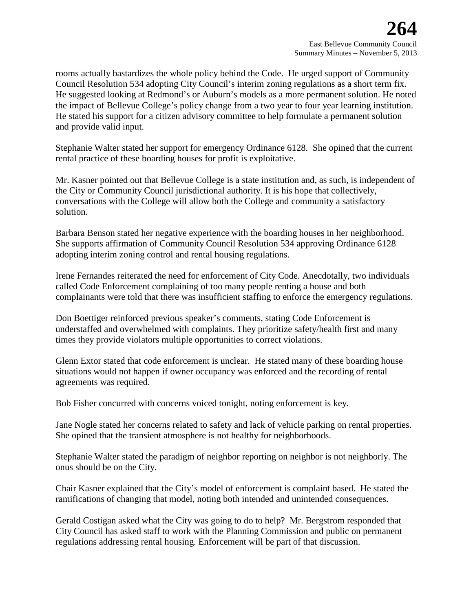rooms actually bastardizes the whole policy behind the Code. He urged support of Community Council Resolution 534 adopting City Council's interim zoning regulations as a short term fix. He suggested looking at Redmond's or Auburn's models as a more permanent solution. He noted the impact of Bellevue College's policy change from a two year to four year learning institution. He stated his support for a citizen advisory committee to help formulate a permanent solution and provide valid input.

Stephanie Walter stated her support for emergency Ordinance 6128. She opined that the current rental practice of these boarding houses for profit is exploitative.

Mr. Kasner pointed out that Bellevue College is a state institution and, as such, is independent of the City or Community Council jurisdictional authority. It is his hope that collectively, conversations with the College will allow both the College and community a satisfactory solution.

Barbara Benson stated her negative experience with the boarding houses in her neighborhood. She supports affirmation of Community Council Resolution 534 approving Ordinance 6128 adopting interim zoning control and rental housing regulations.

Irene Fernandes reiterated the need for enforcement of City Code. Anecdotally, two individuals called Code Enforcement complaining of too many people renting a house and both complainants were told that there was insufficient staffing to enforce the emergency regulations.

Don Boettiger reinforced previous speaker's comments, stating Code Enforcement is understaffed and overwhelmed with complaints. They prioritize safety/health first and many times they provide violators multiple opportunities to correct violations.

Glenn Extor stated that code enforcement is unclear. He stated many of these boarding house situations would not happen if owner occupancy was enforced and the recording of rental agreements was required.

Bob Fisher concurred with concerns voiced tonight, noting enforcement is key.

Jane Nogle stated her concerns related to safety and lack of vehicle parking on rental properties. She opined that the transient atmosphere is not healthy for neighborhoods.

Stephanie Walter stated the paradigm of neighbor reporting on neighbor is not neighborly. The onus should be on the City.

Chair Kasner explained that the City's model of enforcement is complaint based. He stated the ramifications of changing that model, noting both intended and unintended consequences.

Gerald Costigan asked what the City was going to do to help? Mr. Bergstrom responded that City Council has asked staff to work with the Planning Commission and public on permanent regulations addressing rental housing. Enforcement will be part of that discussion.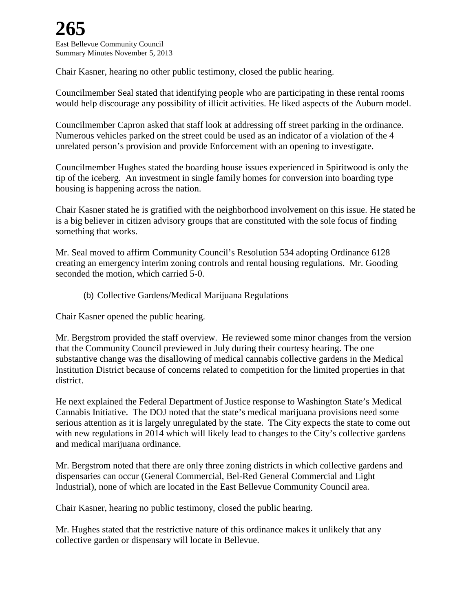Chair Kasner, hearing no other public testimony, closed the public hearing.

Councilmember Seal stated that identifying people who are participating in these rental rooms would help discourage any possibility of illicit activities. He liked aspects of the Auburn model.

Councilmember Capron asked that staff look at addressing off street parking in the ordinance. Numerous vehicles parked on the street could be used as an indicator of a violation of the 4 unrelated person's provision and provide Enforcement with an opening to investigate.

Councilmember Hughes stated the boarding house issues experienced in Spiritwood is only the tip of the iceberg. An investment in single family homes for conversion into boarding type housing is happening across the nation.

Chair Kasner stated he is gratified with the neighborhood involvement on this issue. He stated he is a big believer in citizen advisory groups that are constituted with the sole focus of finding something that works.

Mr. Seal moved to affirm Community Council's Resolution 534 adopting Ordinance 6128 creating an emergency interim zoning controls and rental housing regulations. Mr. Gooding seconded the motion, which carried 5-0.

(b) Collective Gardens/Medical Marijuana Regulations

Chair Kasner opened the public hearing.

Mr. Bergstrom provided the staff overview. He reviewed some minor changes from the version that the Community Council previewed in July during their courtesy hearing. The one substantive change was the disallowing of medical cannabis collective gardens in the Medical Institution District because of concerns related to competition for the limited properties in that district.

He next explained the Federal Department of Justice response to Washington State's Medical Cannabis Initiative. The DOJ noted that the state's medical marijuana provisions need some serious attention as it is largely unregulated by the state. The City expects the state to come out with new regulations in 2014 which will likely lead to changes to the City's collective gardens and medical marijuana ordinance.

Mr. Bergstrom noted that there are only three zoning districts in which collective gardens and dispensaries can occur (General Commercial, Bel-Red General Commercial and Light Industrial), none of which are located in the East Bellevue Community Council area.

Chair Kasner, hearing no public testimony, closed the public hearing.

Mr. Hughes stated that the restrictive nature of this ordinance makes it unlikely that any collective garden or dispensary will locate in Bellevue.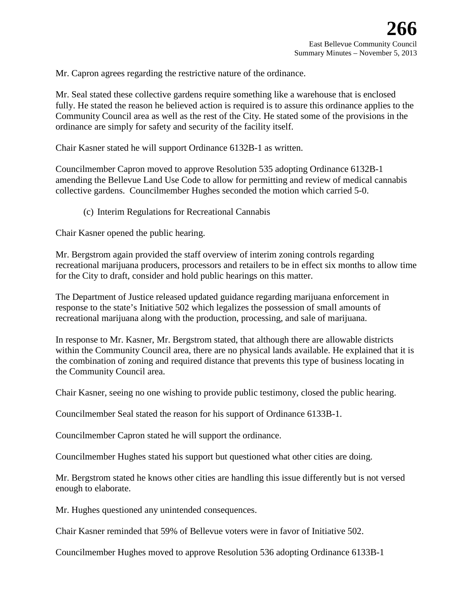Mr. Capron agrees regarding the restrictive nature of the ordinance.

Mr. Seal stated these collective gardens require something like a warehouse that is enclosed fully. He stated the reason he believed action is required is to assure this ordinance applies to the Community Council area as well as the rest of the City. He stated some of the provisions in the ordinance are simply for safety and security of the facility itself.

Chair Kasner stated he will support Ordinance 6132B-1 as written.

Councilmember Capron moved to approve Resolution 535 adopting Ordinance 6132B-1 amending the Bellevue Land Use Code to allow for permitting and review of medical cannabis collective gardens. Councilmember Hughes seconded the motion which carried 5-0.

(c) Interim Regulations for Recreational Cannabis

Chair Kasner opened the public hearing.

Mr. Bergstrom again provided the staff overview of interim zoning controls regarding recreational marijuana producers, processors and retailers to be in effect six months to allow time for the City to draft, consider and hold public hearings on this matter.

The Department of Justice released updated guidance regarding marijuana enforcement in response to the state's Initiative 502 which legalizes the possession of small amounts of recreational marijuana along with the production, processing, and sale of marijuana.

In response to Mr. Kasner, Mr. Bergstrom stated, that although there are allowable districts within the Community Council area, there are no physical lands available. He explained that it is the combination of zoning and required distance that prevents this type of business locating in the Community Council area.

Chair Kasner, seeing no one wishing to provide public testimony, closed the public hearing.

Councilmember Seal stated the reason for his support of Ordinance 6133B-1.

Councilmember Capron stated he will support the ordinance.

Councilmember Hughes stated his support but questioned what other cities are doing.

Mr. Bergstrom stated he knows other cities are handling this issue differently but is not versed enough to elaborate.

Mr. Hughes questioned any unintended consequences.

Chair Kasner reminded that 59% of Bellevue voters were in favor of Initiative 502.

Councilmember Hughes moved to approve Resolution 536 adopting Ordinance 6133B-1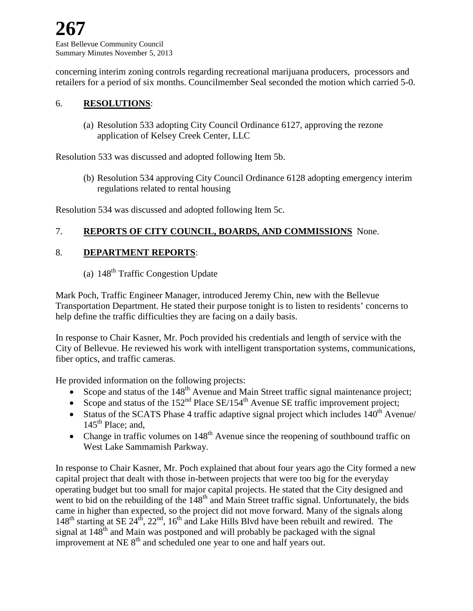East Bellevue Community Council Summary Minutes November 5, 2013

concerning interim zoning controls regarding recreational marijuana producers, processors and retailers for a period of six months. Councilmember Seal seconded the motion which carried 5-0.

#### 6. **RESOLUTIONS**:

(a) Resolution 533 adopting City Council Ordinance 6127, approving the rezone application of Kelsey Creek Center, LLC

Resolution 533 was discussed and adopted following Item 5b.

(b) Resolution 534 approving City Council Ordinance 6128 adopting emergency interim regulations related to rental housing

Resolution 534 was discussed and adopted following Item 5c.

#### 7. **REPORTS OF CITY COUNCIL, BOARDS, AND COMMISSIONS** None.

#### 8. **DEPARTMENT REPORTS**:

### (a)  $148<sup>th</sup>$  Traffic Congestion Update

Mark Poch, Traffic Engineer Manager, introduced Jeremy Chin, new with the Bellevue Transportation Department. He stated their purpose tonight is to listen to residents' concerns to help define the traffic difficulties they are facing on a daily basis.

In response to Chair Kasner, Mr. Poch provided his credentials and length of service with the City of Bellevue. He reviewed his work with intelligent transportation systems, communications, fiber optics, and traffic cameras.

He provided information on the following projects:

- Scope and status of the  $148<sup>th</sup>$  Avenue and Main Street traffic signal maintenance project;
- Scope and status of the  $152<sup>nd</sup>$  Place SE/154<sup>th</sup> Avenue SE traffic improvement project;
- Status of the SCATS Phase 4 traffic adaptive signal project which includes  $140<sup>th</sup>$  Avenue/  $145<sup>th</sup>$  Place; and,
- Change in traffic volumes on  $148<sup>th</sup>$  Avenue since the reopening of southbound traffic on West Lake Sammamish Parkway.

In response to Chair Kasner, Mr. Poch explained that about four years ago the City formed a new capital project that dealt with those in-between projects that were too big for the everyday operating budget but too small for major capital projects. He stated that the City designed and went to bid on the rebuilding of the  $148<sup>th</sup>$  and Main Street traffic signal. Unfortunately, the bids came in higher than expected, so the project did not move forward. Many of the signals along  $148<sup>th</sup>$  starting at SE  $24<sup>th</sup>$ ,  $22<sup>nd</sup>$ ,  $16<sup>th</sup>$  and Lake Hills Blvd have been rebuilt and rewired. The signal at  $148<sup>th</sup>$  and Main was postponed and will probably be packaged with the signal improvement at NE 8<sup>th</sup> and scheduled one year to one and half years out.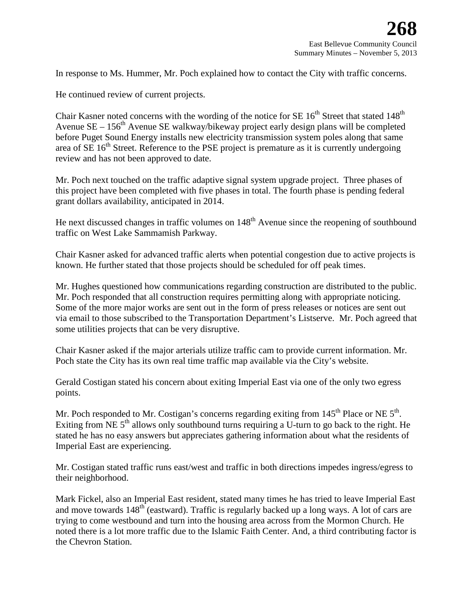In response to Ms. Hummer, Mr. Poch explained how to contact the City with traffic concerns.

He continued review of current projects.

Chair Kasner noted concerns with the wording of the notice for SE  $16<sup>th</sup>$  Street that stated  $148<sup>th</sup>$ Avenue  $SE - 156<sup>th</sup>$  Avenue SE walkway/bikeway project early design plans will be completed before Puget Sound Energy installs new electricity transmission system poles along that same area of  $SE 16<sup>th</sup>$  Street. Reference to the PSE project is premature as it is currently undergoing review and has not been approved to date.

Mr. Poch next touched on the traffic adaptive signal system upgrade project. Three phases of this project have been completed with five phases in total. The fourth phase is pending federal grant dollars availability, anticipated in 2014.

He next discussed changes in traffic volumes on 148<sup>th</sup> Avenue since the reopening of southbound traffic on West Lake Sammamish Parkway.

Chair Kasner asked for advanced traffic alerts when potential congestion due to active projects is known. He further stated that those projects should be scheduled for off peak times.

Mr. Hughes questioned how communications regarding construction are distributed to the public. Mr. Poch responded that all construction requires permitting along with appropriate noticing. Some of the more major works are sent out in the form of press releases or notices are sent out via email to those subscribed to the Transportation Department's Listserve. Mr. Poch agreed that some utilities projects that can be very disruptive.

Chair Kasner asked if the major arterials utilize traffic cam to provide current information. Mr. Poch state the City has its own real time traffic map available via the City's website.

Gerald Costigan stated his concern about exiting Imperial East via one of the only two egress points.

Mr. Poch responded to Mr. Costigan's concerns regarding exiting from 145<sup>th</sup> Place or NE 5<sup>th</sup>. Exiting from NE  $5<sup>th</sup>$  allows only southbound turns requiring a U-turn to go back to the right. He stated he has no easy answers but appreciates gathering information about what the residents of Imperial East are experiencing.

Mr. Costigan stated traffic runs east/west and traffic in both directions impedes ingress/egress to their neighborhood.

Mark Fickel, also an Imperial East resident, stated many times he has tried to leave Imperial East and move towards  $148<sup>th</sup>$  (eastward). Traffic is regularly backed up a long ways. A lot of cars are trying to come westbound and turn into the housing area across from the Mormon Church. He noted there is a lot more traffic due to the Islamic Faith Center. And, a third contributing factor is the Chevron Station.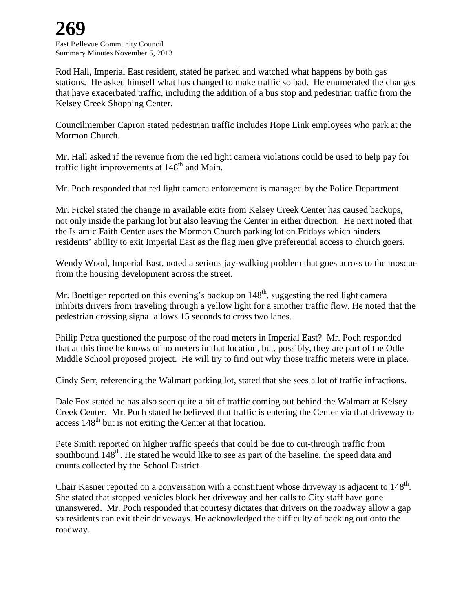# **269**

East Bellevue Community Council Summary Minutes November 5, 2013

Rod Hall, Imperial East resident, stated he parked and watched what happens by both gas stations. He asked himself what has changed to make traffic so bad. He enumerated the changes that have exacerbated traffic, including the addition of a bus stop and pedestrian traffic from the Kelsey Creek Shopping Center.

Councilmember Capron stated pedestrian traffic includes Hope Link employees who park at the Mormon Church.

Mr. Hall asked if the revenue from the red light camera violations could be used to help pay for traffic light improvements at 148<sup>th</sup> and Main.

Mr. Poch responded that red light camera enforcement is managed by the Police Department.

Mr. Fickel stated the change in available exits from Kelsey Creek Center has caused backups, not only inside the parking lot but also leaving the Center in either direction. He next noted that the Islamic Faith Center uses the Mormon Church parking lot on Fridays which hinders residents' ability to exit Imperial East as the flag men give preferential access to church goers.

Wendy Wood, Imperial East, noted a serious jay-walking problem that goes across to the mosque from the housing development across the street.

Mr. Boettiger reported on this evening's backup on  $148<sup>th</sup>$ , suggesting the red light camera inhibits drivers from traveling through a yellow light for a smother traffic flow. He noted that the pedestrian crossing signal allows 15 seconds to cross two lanes.

Philip Petra questioned the purpose of the road meters in Imperial East? Mr. Poch responded that at this time he knows of no meters in that location, but, possibly, they are part of the Odle Middle School proposed project. He will try to find out why those traffic meters were in place.

Cindy Serr, referencing the Walmart parking lot, stated that she sees a lot of traffic infractions.

Dale Fox stated he has also seen quite a bit of traffic coming out behind the Walmart at Kelsey Creek Center. Mr. Poch stated he believed that traffic is entering the Center via that driveway to access  $148<sup>th</sup>$  but is not exiting the Center at that location.

Pete Smith reported on higher traffic speeds that could be due to cut-through traffic from southbound  $148<sup>th</sup>$ . He stated he would like to see as part of the baseline, the speed data and counts collected by the School District.

Chair Kasner reported on a conversation with a constituent whose driveway is adjacent to  $148<sup>th</sup>$ . She stated that stopped vehicles block her driveway and her calls to City staff have gone unanswered. Mr. Poch responded that courtesy dictates that drivers on the roadway allow a gap so residents can exit their driveways. He acknowledged the difficulty of backing out onto the roadway.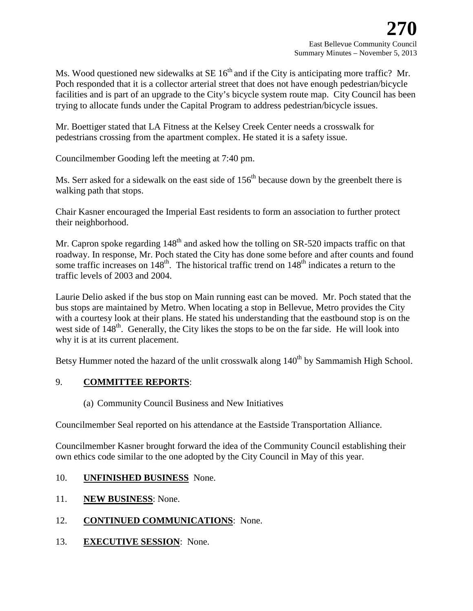Ms. Wood questioned new sidewalks at  $SE 16<sup>th</sup>$  and if the City is anticipating more traffic? Mr. Poch responded that it is a collector arterial street that does not have enough pedestrian/bicycle facilities and is part of an upgrade to the City's bicycle system route map. City Council has been trying to allocate funds under the Capital Program to address pedestrian/bicycle issues.

Mr. Boettiger stated that LA Fitness at the Kelsey Creek Center needs a crosswalk for pedestrians crossing from the apartment complex. He stated it is a safety issue.

Councilmember Gooding left the meeting at 7:40 pm.

Ms. Serr asked for a sidewalk on the east side of  $156<sup>th</sup>$  because down by the greenbelt there is walking path that stops.

Chair Kasner encouraged the Imperial East residents to form an association to further protect their neighborhood.

Mr. Capron spoke regarding 148<sup>th</sup> and asked how the tolling on SR-520 impacts traffic on that roadway. In response, Mr. Poch stated the City has done some before and after counts and found some traffic increases on  $148<sup>th</sup>$ . The historical traffic trend on  $148<sup>th</sup>$  indicates a return to the traffic levels of 2003 and 2004.

Laurie Delio asked if the bus stop on Main running east can be moved. Mr. Poch stated that the bus stops are maintained by Metro. When locating a stop in Bellevue, Metro provides the City with a courtesy look at their plans. He stated his understanding that the eastbound stop is on the west side of 148<sup>th</sup>. Generally, the City likes the stops to be on the far side. He will look into why it is at its current placement.

Betsy Hummer noted the hazard of the unlit crosswalk along  $140<sup>th</sup>$  by Sammamish High School.

#### 9. **COMMITTEE REPORTS**:

(a) Community Council Business and New Initiatives

Councilmember Seal reported on his attendance at the Eastside Transportation Alliance.

Councilmember Kasner brought forward the idea of the Community Council establishing their own ethics code similar to the one adopted by the City Council in May of this year.

#### 10. **UNFINISHED BUSINESS** None.

- 11. **NEW BUSINESS**: None.
- 12. **CONTINUED COMMUNICATIONS**: None.
- 13. **EXECUTIVE SESSION**: None.